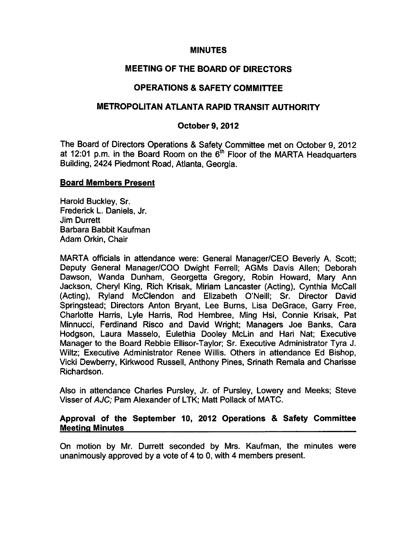# MINUTES

# MEETING OF THE BOARD OF DIRECTORS

# OPERATIONS & SAFETY COMMITTEE

# METROPOLITAN ATLANTA RAPID TRANSIT AUTHORITY

### October 9, 2012

The Board of Directors Operations & Safety Committee met on October 9, 2012 at 12:01 p.m. in the Board Room on the  $6<sup>th</sup>$  Floor of the MARTA Headquarters Building, 2424 Piedmont Road, Atlanta, Georgia.

#### Board Members Present

Harold Buckley, Sr. Frederick L. Daniels, Jr. Jim Durrett Barbara Babbit Kaufman Adam Orkin, Chair

MARTA officials in attendance were: General Manager/CEO Beverly A. Scott; Deputy General Manager/COO Dwight Ferrell; AGMs Davis Allen; Deborah Dawson, Wanda Dunham, Georgetta Gregory, Robin Howard, Mary Ann Jackson, Cheryl King, Rich Krisak, Miriam Lancaster (Acting), Cynthia McCall (Acting), Ryland McClendon and Elizabeth O'Neill; Sr. Director David Springstead; Directors Anton Bryant, Lee Burns, Lisa DeGrace, Garry Free, Charlotte Harris, Lyle Harris, Rod Hembree, Ming Hsi, Connie Krisak, Pat Minnucci, Ferdinand Risco and David Wright; Managers Joe Banks, Cara Hodgson, Laura Masselo, Eulethia Dooley McLin and Hari Nat; Executive Manager to the Board Rebbie Ellisor-Taylor; Sr. Executive Administrator Tyra J. Wiltz; Executive Administrator Renee Willis. Others in attendance Ed Bishop, Vicki Dewberry, Kirkwood Russell, Anthony Pines, Srinath Remala and Charisse Richardson.

Also in attendance Charles Pursley, Jr. of Pursley, Lowery and Meeks; Steve Visser of AJC; Pam Alexander of LTK; Matt Pollack of MATC.

## Approval of the September 10, 2012 Operations & Safety Committee Meeting Minutes

On motion by Mr. Durrett seconded by Mrs. Kaufman, the minutes were unanimously approved by a vote of 4 to 0, with 4 members present.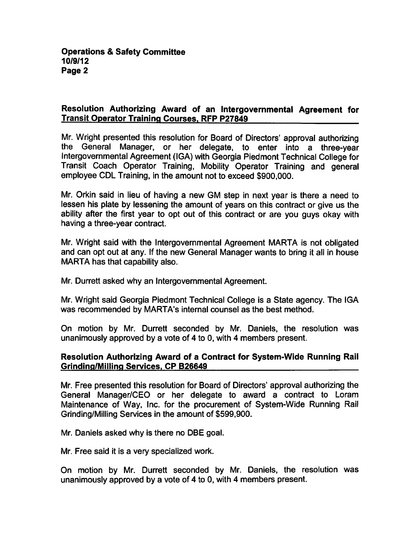### Resolution Authorizing Award of an Intergovernmental Agreement for Transit Operator Training Courses. RFP P27849

Mr. Wright presented this resolution for Board of Directors' approval authorizing the General Manager, or her delegate, to enter into a three-year Intergovernmental Agreement (IGA) with Georgia Piedmont Technical College for Transit Coach Operator Training, Mobility Operator Training and general employee CDL Training, in the amount not to exceed \$900,000.

Mr. Orkin said in lieu of having a new GM step in next year is there a need to lessen his plate by lessening the amount of years on this contract or give us the ability after the first year to opt out of this contract or are you guys okay with having a three-year contract.

Mr. Wright said with the Intergovernmental Agreement MARTA is not obligated and can opt out at any. If the new General Manager wants to bring it all in house MARTA has that capability also.

Mr. Durrett asked why an Intergovernmental Agreement.

Mr. Wright said Georgia Piedmont Technical College is State agency. The IGA was recommended by MARTA's internal counsel as the best method.

On motion by Mr. Durrett seconded by Mr. Daniels, the resolution was unanimously approved by a vote of 4 to 0, with 4 members present.

## Resolution Authorizing Award of a Contract for System-Wide Running Rail Grinding/Milling Services. CP B26649

Mr. Free presented this resolution for Board of Directors' approval authorizing the General Manager/CEO or her delegate to award a contract to Loram Maintenance of Way, Inc. for the procurement of System-Wide Running Rail Grinding/Milling Services in the amount of \$599,900.

Mr. Daniels asked why is there no DBE goal.

Mr. Free said it is a very specialized work.

On motion by Mr. Durrett seconded by Mr. Daniels, the resolution was unanimously approved by a vote of 4 to 0, with 4 members present.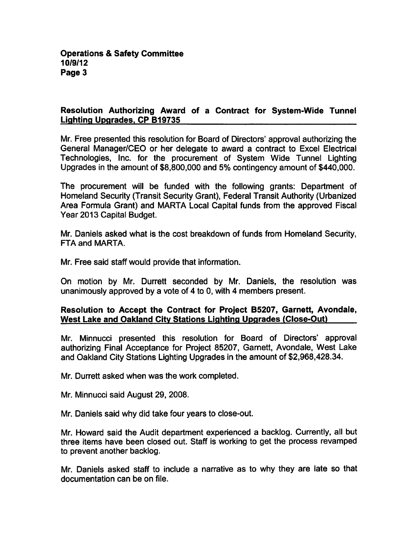# Resolution Authorizing Award of a Contract for System-Wide Tunnel Lighting Upgrades. CP B19735

Mr. Free presented this resolution for Board of Directors' approval authorizing the General Manager/CEO or her delegate to award a contract to Excel Electrical Technologies, Inc. for the procurement of System Wide Tunnel Lighting Upgrades in the amount of \$8,800,000 and 5% contingency amount of \$440,000.

The procurement will be funded with the following grants: Department of Homeland Security (Transit Security Grant), Federal Transit Authority (Urbanized Area Formula Grant) and MARTA Local Capital funds from the approved Fiscal Year 2013 Capital Budget.

Mr. Daniels asked what is the cost breakdown of funds from Homeland Security, FTA and MARTA.

Mr. Free said staff would provide that information.

On motion by Mr. Durrett seconded by Mr. Daniels, the resolution was unanimously approved by a vote of  $4$  to 0, with  $4$  members present.

## Resolution to Accept the Contract for Project B5207, Garnett, Avondale, West Lake and Oakland City Stations Lighting Upgrades (Close-Out)

Mr. Minnucci presented this resolution for Board of Directors' approval authorizing Final Acceptance for Project 85207, Garnett, Avondale, West Lake and Oakland City Stations Lighting Upgrades in the amount of \$2,968,428.34.

Mr. Durrett asked when was the work completed.

Mr. Minnucci said August 29, 2008.

Mr. Daniels said why did take four years to close-out.

Mr. Howard said the Audit department experienced a backlog. Currently, all but three items have been closed out. Staff is working to get the process revamped to prevent another backlog.

Mr. Daniels asked staff to include a narrative as to why they are late so that documentation can be on file.